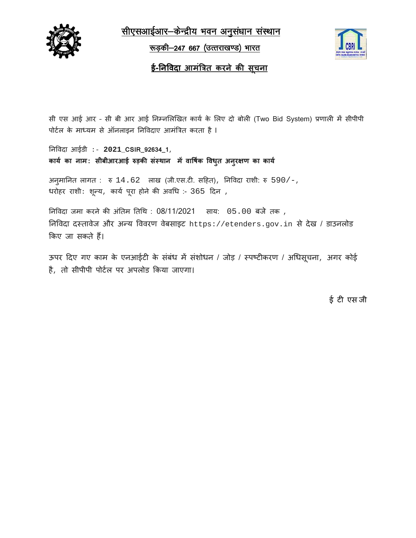

सीएसआईआर-केन्द्रीय भवन अनुसंधान संस्थान

<u>रूड़की-247 667 (उत्तराखण्ड) भारत</u>



## <u>ई-निविदा आमंत्रित करने की सूचना</u>

सी एस आई आर - सी बी आर आई निम्नलिखित कार्य के लिए दो बोली (Two Bid System) प्रणाली में सीपीपी पोर्टल के माध्यम से ऑनलाइन निविदाए आमंत्रित करता है।

निविदा आईडी :- 2021\_CSIR\_92634\_1, कार्य का नाम: सीबीआरआई रुड़की संस्थान में वार्षिक विध्त अन् सण का कार्य

अनूमानित लागत:  $\overline{x}$  14.62 लाख (जी.एस.टी. सहित), निविदा राशी: रु 590/-, धरोहर राशीः शून्य, कार्य पूरा होने की अवधि :- 365 दिन,

निविदा जमा करने की अंतिम तिथि: 08/11/2021 साय: 05.00 बजे तक, निविदा दस्तावेज और अन्य विवरण वेबसाइट https://etenders.gov.in से देख / डाउनलोड किए जा सकते हैं।

ऊपर दिए गए काम के एनआईटी के संबंध में संशोधन / जोड़ / स्पष्टीकरण / अधिसूचना, अगर कोई है, तो सीपीपी पोर्टल पर अपलोड किया जाएगा।

ई टी एस जी